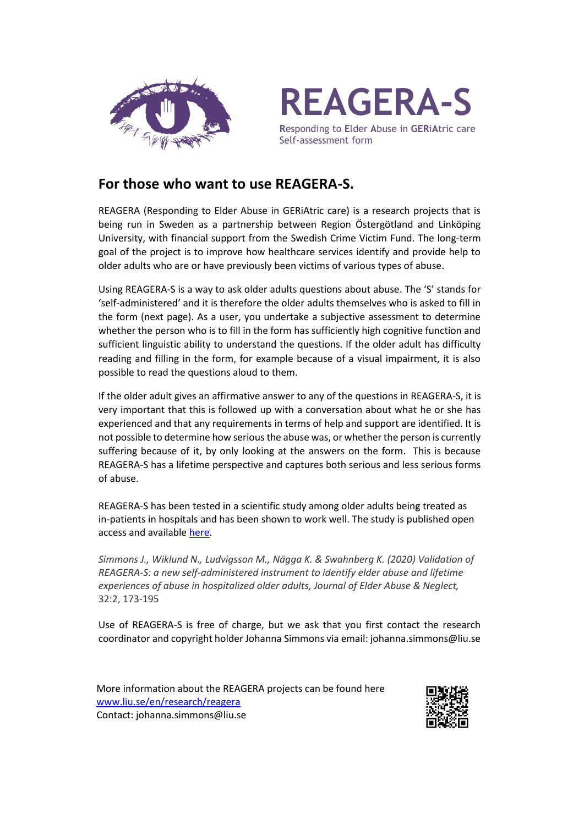



**R**esponding to **E**lder **A**buse in **GER**i**A**tric care Self-assessment form

## **For those who want to use REAGERA-S.**

REAGERA (Responding to Elder Abuse in GERiAtric care) is a research projects that is being run in Sweden as a partnership between Region Östergötland and Linköping University, with financial support from the Swedish Crime Victim Fund. The long-term goal of the project is to improve how healthcare services identify and provide help to older adults who are or have previously been victims of various types of abuse.

Using REAGERA-S is a way to ask older adults questions about abuse. The 'S' stands for 'self-administered' and it is therefore the older adults themselves who is asked to fill in the form (next page). As a user, you undertake a subjective assessment to determine whether the person who is to fill in the form has sufficiently high cognitive function and sufficient linguistic ability to understand the questions. If the older adult has difficulty reading and filling in the form, for example because of a visual impairment, it is also possible to read the questions aloud to them.

If the older adult gives an affirmative answer to any of the questions in REAGERA-S, it is very important that this is followed up with a conversation about what he or she has experienced and that any requirements in terms of help and support are identified. It is not possible to determine how serious the abuse was, or whether the person is currently suffering because of it, by only looking at the answers on the form. This is because REAGERA-S has a lifetime perspective and captures both serious and less serious forms of abuse.

REAGERA-S has been tested in a scientific study among older adults being treated as in-patients in hospitals and has been shown to work well. The study is published open access and available [here.](https://www.tandfonline.com/doi/full/10.1080/08946566.2020.1737614)

*Simmons J., Wiklund N., Ludvigsson M., Nägga K. & Swahnberg K. (2020) Validation of REAGERA-S: a new self-administered instrument to identify elder abuse and lifetime experiences of abuse in hospitalized older adults, Journal of Elder Abuse & Neglect,*  32:2, 173-195

Use of REAGERA-S is free of charge, but we ask that you first contact the research coordinator and copyright holder Johanna Simmons via email: johanna.simmons@liu.se

More information about the REAGERA projects can be found here [www.liu.se/en/research/reagera](http://www.liu.se/en/research/reagera) Contact: johanna.simmons@liu.se